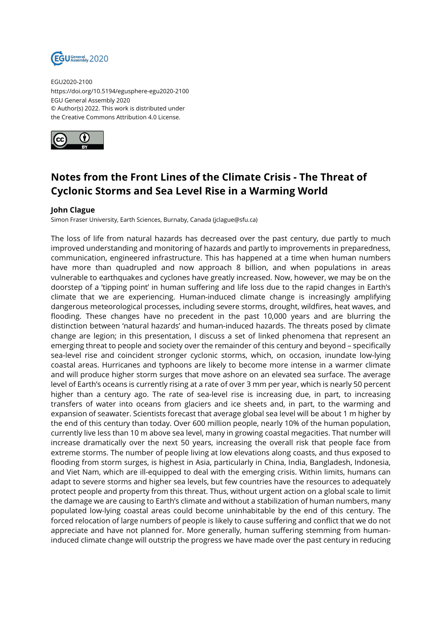

EGU2020-2100 https://doi.org/10.5194/egusphere-egu2020-2100 EGU General Assembly 2020 © Author(s) 2022. This work is distributed under the Creative Commons Attribution 4.0 License.



## **Notes from the Front Lines of the Climate Crisis - The Threat of Cyclonic Storms and Sea Level Rise in a Warming World**

## **John Clague**

Simon Fraser University, Earth Sciences, Burnaby, Canada (jclague@sfu.ca)

The loss of life from natural hazards has decreased over the past century, due partly to much improved understanding and monitoring of hazards and partly to improvements in preparedness, communication, engineered infrastructure. This has happened at a time when human numbers have more than quadrupled and now approach 8 billion, and when populations in areas vulnerable to earthquakes and cyclones have greatly increased. Now, however, we may be on the doorstep of a 'tipping point' in human suffering and life loss due to the rapid changes in Earth's climate that we are experiencing. Human-induced climate change is increasingly amplifying dangerous meteorological processes, including severe storms, drought, wildfires, heat waves, and flooding. These changes have no precedent in the past 10,000 years and are blurring the distinction between 'natural hazards' and human-induced hazards. The threats posed by climate change are legion; in this presentation, I discuss a set of linked phenomena that represent an emerging threat to people and society over the remainder of this century and beyond – specifically sea-level rise and coincident stronger cyclonic storms, which, on occasion, inundate low-lying coastal areas. Hurricanes and typhoons are likely to become more intense in a warmer climate and will produce higher storm surges that move ashore on an elevated sea surface. The average level of Earth's oceans is currently rising at a rate of over 3 mm per year, which is nearly 50 percent higher than a century ago. The rate of sea-level rise is increasing due, in part, to increasing transfers of water into oceans from glaciers and ice sheets and, in part, to the warming and expansion of seawater. Scientists forecast that average global sea level will be about 1 m higher by the end of this century than today. Over 600 million people, nearly 10% of the human population, currently live less than 10 m above sea level, many in growing coastal megacities. That number will increase dramatically over the next 50 years, increasing the overall risk that people face from extreme storms. The number of people living at low elevations along coasts, and thus exposed to flooding from storm surges, is highest in Asia, particularly in China, India, Bangladesh, Indonesia, and Viet Nam, which are ill-equipped to deal with the emerging crisis. Within limits, humans can adapt to severe storms and higher sea levels, but few countries have the resources to adequately protect people and property from this threat. Thus, without urgent action on a global scale to limit the damage we are causing to Earth's climate and without a stabilization of human numbers, many populated low-lying coastal areas could become uninhabitable by the end of this century. The forced relocation of large numbers of people is likely to cause suffering and conflict that we do not appreciate and have not planned for. More generally, human suffering stemming from humaninduced climate change will outstrip the progress we have made over the past century in reducing